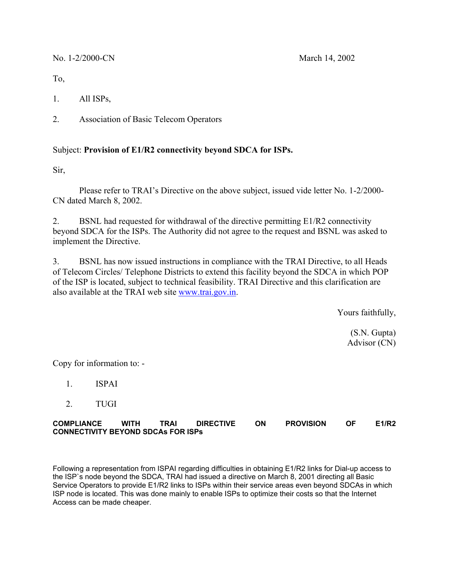No. 1-2/2000-CN March 14, 2002

To,

1. All ISPs,

2. Association of Basic Telecom Operators

## Subject: **Provision of E1/R2 connectivity beyond SDCA for ISPs.**

Sir,

 Please refer to TRAI's Directive on the above subject, issued vide letter No. 1-2/2000- CN dated March 8, 2002.

2. BSNL had requested for withdrawal of the directive permitting E1/R2 connectivity beyond SDCA for the ISPs. The Authority did not agree to the request and BSNL was asked to implement the Directive.

3. BSNL has now issued instructions in compliance with the TRAI Directive, to all Heads of Telecom Circles/ Telephone Districts to extend this facility beyond the SDCA in which POP of the ISP is located, subject to technical feasibility. TRAI Directive and this clarification are also available at the TRAI web site www.trai.gov.in.

Yours faithfully,

(S.N. Gupta) Advisor (CN)

Copy for information to: -

- 1. ISPAI
- 2. TUGI

**COMPLIANCE WITH TRAI DIRECTIVE ON PROVISION OF E1/R2 CONNECTIVITY BEYOND SDCAs FOR ISPs**

Following a representation from ISPAI regarding difficulties in obtaining E1/R2 links for Dial-up access to the ISP`s node beyond the SDCA, TRAI had issued a directive on March 8, 2001 directing all Basic Service Operators to provide E1/R2 links to ISPs within their service areas even beyond SDCAs in which ISP node is located. This was done mainly to enable ISPs to optimize their costs so that the Internet Access can be made cheaper.